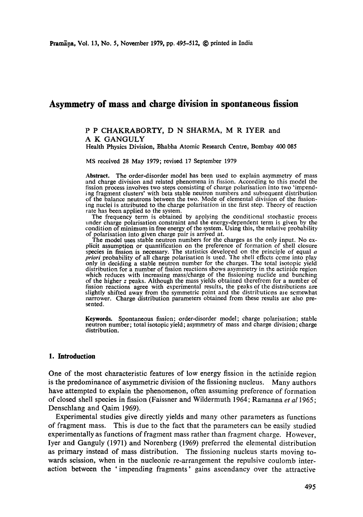# **Asymmetry of mass and charge division in spontaneous fission**

## P P CHAKRABORTY, D N SHARMA, M R IYER and A K GANGULY

Health Physics Division, Bhabha Atomic Research Centre, Bombay 400 085

MS received 28 May 1979; revised 17 September 1979

**Abstract.** The order-disorder model has been used to explain asymmetry of mass and charge division and related phenomena in fission. According to this model the fission process involves two steps consisting of charge polarisation into two 'impending fragment clusters' with beta stable neutron numbers and subsequent distribution of the balance neutrons between the two. Mode of elemental division of the fissioning nuclei is attributed to the charge polarisation in the first step. Theory of reaction rate has been applied to the system.

The frequency term is obtained by applying the conditional stochastic process under charge polarisation constraint and the energy-dependent term is given by the condition of minimum in free energy of the system. Using this, the relative probability of polarisation into given charge pair is arrived at.

The model uses stable neutron numbers for the charges as the only input. No explicit assumption or quantification on the preference of formation of shell closure species in fission is necessary. The statistics developed on the principle of equal *a priori* probability of all charge polarisation is used. The shell effects come into play only in deciding a stable neutron number for the charges. The total isotopic yield distribution for a number of fission reactions shows asymmetry in the actinide region which reduces with increasing mass/charge of the fissioning nuclide and bunching of the higher  $z$  peaks. Although the mass yields obtained therefrom for a number of fission reactions agree with experimental results, the reaks of the distributions are slightly shifted away from the symmetric point and the distributions are somewhat narrower. Charge distribution parameters obtained from these results are also presented.

**Keywords.** Spontaneous fission; order-disorder model; charge polarisation; stable neutron number; total isotopic yield; asymmetry of mass and charge division; charge distribution.

# **1. Introduction**

One of the most characteristic features of low energy fission in the actinide region is the predominance of asymmetric division of the fissioning nucleus. Many authors have attempted to explain the phenomenon, often assuming preference of formation of closed shell species in fission (Faissner and Wildermuth 1964; Ramanna *et al 1965;*  Denschlang and Qaim 1969).

Experimental studies give directly yields and many other parameters as functions of fragment mass. This is due to the fact that the parameters can be easily studied experimentally as functions of fragment mass rather than fragment charge. However, Iyer and Ganguly (1971) and Norenberg (1969) preferred the elemental distribution as primary instead of mass distribution. The fissioning nucleus starts moving towards scission, when in the nucleonic re-arrangement the repulsive coulomb interaction between the 'impending fragments' gains ascendancy over the attractive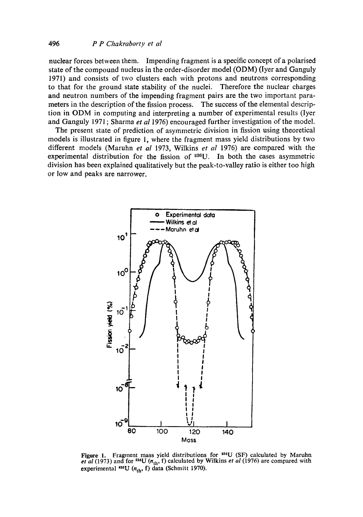nuclear forces between them. Impending fragment is a specific concept of a polarised state of the compound nucleus in the order-disorder model (ODM) (Iyer and Ganguly 1971) and consists of two clusters each with protons and neutrons corresponding to that for the ground state stability of the nuclei. Therefore the nuclear charges and neutron numbers of the impending fragment pairs are the two important parameters in the description of the fission process. The success of the elemental description in ODM in computing and interpreting a number of experimental results (Iyer and Ganguly 1971 ; Sharma *et al* 1976) encouraged further investigation of the model.

The present state of prediction of asymmetric division in fission using theoretical models is illustrated in figure 1, where the fragment mass yield distributions by two different models (Maruhn *et al* 1973, Wilkins *et al* 1976) are compared with the experimental distribution for the fission of  $286U$ . In both the cases asymmetric division has been explained qualitatively but the peak-to-valley ratio is either too high or low and peaks are narrower.



Figure 1. Fragment mass yield distributions for <sup>236</sup>U (SF) calculated by Maruhn *et al* (1973) and for <sup>235</sup>U ( $n_{th}$ , f) calculated by Wilkins *et al* (1976) are compared with experimental  $^{255}U$  ( $n_{th}$ , f) data (Schmitt 1970).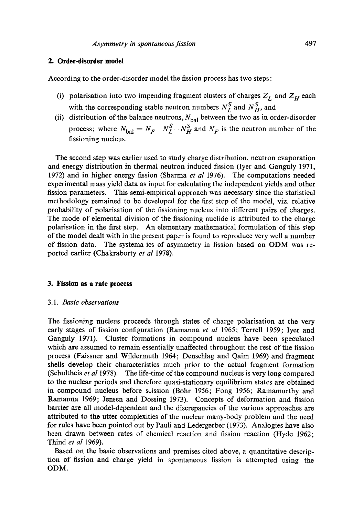## **2. Order-disorder model**

According to the order-disorder model the fission process has two steps:

- (i) polarisation into two impending fragment clusters of charges  $Z_L$  and  $Z_H$  each with the corresponding stable neutron numbers  $N_L^S$  and  $N_H^S$ , and
- (ii) distribution of the balance neutrons,  $N_{bal}$  between the two as in order-disorder process; where  $N_{\text{bal}} = N_F - N_L^S - N_H^S$  and  $N_F$  is the neutron number of the fissioning nucleus.

The second step was earlier used to study charge distribution, neutron evaporation and energy distribution in thermal neutron induced fission (Iyer and Ganguly 1971, 1972) and in higher energy fission (Sharma *et al* 1976). The computations needed experimental mass yield data as input for calculating the independent yields and other fission parameters. This semi-empirical approach was necessary since the statistical methodology remained to be developed for the first step of the model, viz. relative probability of polarisation of the fissioning nucleus into different pairs of charges. The mode of elemental division of the fissioning nuclide is attributed to the charge polarisation in the first step. An elementary mathematical formulation of this step of the model dealt with in the present paper is found to reproduce very well a number of fission data. The systema ics of asymmetry in fission based on ODM was reported earlier (Chakraborty *et al* 1978).

#### **3. Fission as a rate process**

#### 3.1. *Basic observations*

The fissioning nucleus proceeds through states of charge polarisation at the very early stages of fission configuration (Ramanna *et al* 1965; Terrell 1959; Iyer and Ganguly 1971). Cluster formations in compound nucleus have been speculated which are assumed to remain essentially unaffected throughout the rest of the fission process (Faissner and Wildermuth 1964; Denschlag and Qaim 1969) and fragment shells develop their characteristics much prior to the actual fragment formation (Schultheis *et al* 1978). The life-time of the compound nucleus is very long compared to the nuclear periods and therefore quasi-stationary equilibrium states are obtained in compound nucleus before scission (B6hr 1956; Fong 1956; Ramamurthy and Ramanna 1969; Jensen and Dossing 1973). Concepts of deformation and fission barrier are all model-dependent and the discrepancies of the various approaches are attributed to the utter complexities of the nuclear many-body problem and the need for rules have been pointed out by Pauli and Ledergerber (1973). Analogies have also been drawn between rates of chemical reaction and fission reaction (Hyde 1962; Thind *et al* 1969).

Based on the basic observations and premises cited above, a quantitative description of fission and charge yield in spontaneous fission is attempted using the ODM.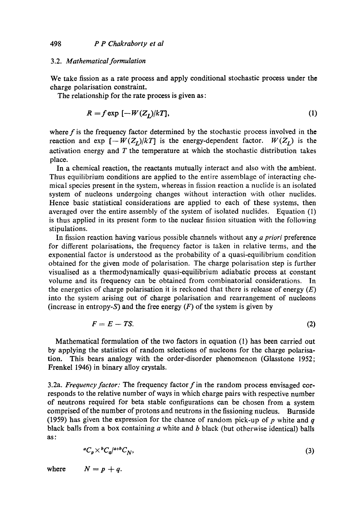#### 3.2. *Mathematical formulation*

We take fission as a rate process and apply conditional stochastic process under the charge polarisation constraint.

The relationship for the rate process is given as:

$$
R = f \exp\left[-W(Z_I)/kT\right],\tag{1}
$$

where  $f$  is the frequency factor determined by the stochastic process involved in the reaction and exp  $[-W(Z_L)/kT]$  is the energy-dependent factor.  $W(Z_L)$  is the activation energy and  $T$  the temperature at which the stochastic distribution takes place.

In a chemical reaction, the reactants mutually interact and also with the ambient. Thus equilibrium conditions are applied to the entire assemblage of interacting chemical species present in the system, whereas in fission reaction a nuclide is an isolated system of nucleons undergoing changes without interaction with other nuclides. Hence basic statistical considerations are applied to each of these systems, then averaged over the entire assembly of the system of isolated nuclides. Equation (1) is thus applied in its present form to the nuclear fission situation with the following stipulations.

In fission reaction having various possible channels without any *a priori* preference for different polarisations, the frequency factor is taken in relative terms, and the exponential factor is understood as the probability of a quasi-equilibrium condition obtained for the given mode of polarisation. The charge polarisation step is further visualised as a thermodynamically quasi-equilibrium adiabatic process at constant volume and its frequency can be obtained from combinatorial considerations. In the energetics of charge polarisation it is reckoned that there is release of energy  $(E)$ into the system arising out of charge polarisation and rearrangement of nucleons (increase in entropy-S) and the free energy  $(F)$  of the system is given by

$$
F = E - TS. \tag{2}
$$

Mathematical formulation of the two factors in equation (1) has been carried out by applying the statistics of random selections of nucleons for the charge polarisation. This bears analogy with the order-disorder phenomenon (Glasstone 1952; Frenkel 1946) in binary alloy crystals.

3.2a. *Frequency factor:* The frequency factor f in the random process envisaged corresponds to the relative number of ways in which charge pairs with respective number of neutrons required for beta stable configurations can be chosen from a system comprised of the number of protons and neutrons in the fissioning nucleus. Burnside (1959) has given the expression for the chance of random pick-up of  $p$  white and  $q$ black balls from a box containing  $a$  white and  $b$  black (but otherwise identical) balls as:

$$
{}^{a}C_{p}\times {}^{b}C_{q}{}^{/a+b}C_{N},\tag{3}
$$

where  $N = p + q$ .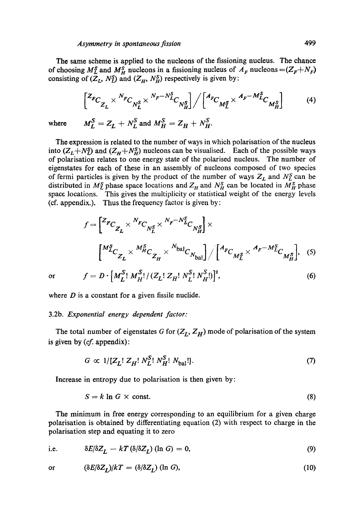The same scheme is applied to the nucleons of the fissioning nucleus. The chance of choosing  $M_L^S$  and  $M_H^S$  nucleons in a fissioning nucleus of  $A_F$  nucleons  $=(Z_F+N_F)$ consisting of  $(\overline{Z}_L, N_L^S)$  and  $(Z_H, N_H^S)$  respectively is given by:

$$
\begin{bmatrix} z_{FC} & N_{FC} & N_F - N_L^S \\ z_{LC} & N_L^S \end{bmatrix} / \begin{bmatrix} A_{FC} & A_F - M_L^S \\ M_L^S \end{bmatrix}
$$
 (4)  
where 
$$
M_L^S = Z_L + N_L^S \text{ and } M_H^S = Z_H + N_H^S.
$$

The expression is related to the number of ways in which polarisation of the nucleus into  $(Z_L+N_L^S)$  and  $(Z_H+N_H^S)$  nucleons can be visualised. Each of the possible ways of polarisation relates to one energy state of the polarised nucleus. The number of eigenstates for each of these in an assembly of nucleons composed of two species of fermi particles is given by the product of the number of ways  $Z_L$  and  $N_L^s$  can be distributed in  $M_L^S$  phase space locations and  $Z_H$  and  $N_H^S$  can be located in  $M_H^S$  phase space locations. This gives the multiplicity or statistical weight of the energy levels  $(cf. appendix.).$  Thus the frequency factor is given by:

$$
f = \left[ \frac{Z_{FC}}{Z_L} \times \frac{N_{FC}}{N_L^S} \times \frac{N_F - N_L^S}{N_H^S} \right] \times \left[ \frac{M_{LC}^S}{Z_L} \times \frac{M_{HC}^S}{N_H^S} \times \frac{N_{\text{bal}}}{N_H^S} \right] / \left[ \frac{A_{FC}}{M_L^S} \times \frac{A_F - M_L^S}{N_H^S} \right], \quad (5)
$$

or  $f = D \cdot [M_r^S M_H^S]/(Z_L! Z_H! N_L^S N_H^S)^2$ ,

where  $D$  is a constant for a given fissile nuclide.

#### 3.2b. *Exponential energy dependent factor:*

The total number of eigenstates G for  $(Z_L, Z_H)$  mode of polarisation of the system is given by  $(cf.$  appendix):

$$
G \propto 1/[Z_L! \; Z_H! \; N_L^S! \; N_H^S! \; N_{bal}!]. \tag{7}
$$

Increase in entropy due to polarisation is then given by:

$$
S = k \ln G \times \text{const.} \tag{8}
$$

The minimum in free energy corresponding to an equilibrium for a given charge polarisation is obtained by differentiating equation (2) with respect to charge in the polarisation step and equating it to zero

i.e. 
$$
\delta E/\delta Z_L - kT (\delta/\delta Z_L) (\ln G) = 0,
$$
 (9)

$$
\text{or} \qquad (\delta E/\delta Z_L)/k = (\delta/\delta Z_L) \text{ (ln } G), \tag{10}
$$

 $(6)$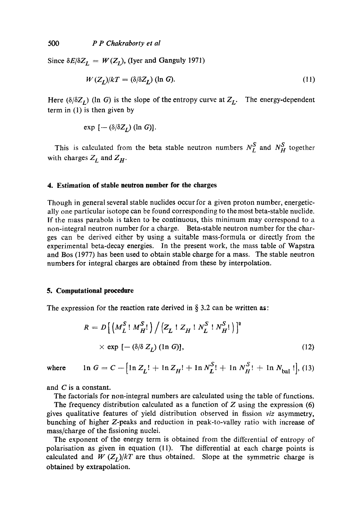Since  $\delta E/\delta Z_L = W(Z_I)$ , (Iyer and Ganguly 1971)

$$
W(Z_I)/kT = (\delta/\delta Z_I) \text{ (ln } G). \tag{11}
$$

Here  $(\delta/\delta Z_I)$  (In G) is the slope of the entropy curve at  $Z_I$ . The energy-dependent term in (1) is then given by

$$
\exp\left[-(\delta/\delta Z_I)\left(\ln G\right)\right].
$$

This is calculated from the beta stable neutron numbers  $N_L^S$  and  $N_H^S$  together with charges  $Z_L$  and  $Z_H$ .

#### **4. Estimation of stable neutron number for the charges**

Though in general several stable nuclides occur for a given proton number, energetically one particular isotope can be found corresponding to the most beta-stable nuclide. If the mass parabola, is taken to be continuous, this minimum may correspond to a non-integral neutron number for a charge. Beta-stable neutron number for the charges can be derived either by using a suitable mass-formula or directly from the experimental beta-decay energies. In the present work, the mass table of Wapstra and Bos (1977) has been used to obtain stable charge for a mass. The stable neutron numbers for integral charges are obtained from these by interpolation.

#### **5. Computational procedure**

The expression for the reaction rate derived in § 3.2 can be written **as:** 

$$
R = D\left[\left(M_L^S \,!\, M_H^S\right] / \left(Z_L \,!\, 1\,Z_H \,!\, N_L^S \,!\, N_H^S\right]\right]^2
$$
\n
$$
\times \exp\left[-\left(\delta/\delta \, Z_L\right) (\ln G)\right],\tag{12}
$$

where 
$$
\ln G = C - [\ln Z_L! + \ln Z_H! + \ln N_L^S! + \ln N_H^S! + \ln N_{bal}!],
$$
 (13)

and C is a constant.

The factorials for non-integral numbers are calculated using the table of functions.

The frequency distribution calculated as a function of  $Z$  using the expression (6) gives qualitative features of yield distribution observed in fission *viz* asymmetry, bunching of higher Z-peaks and reduction in peak-to-valley ratio with increase of mass/charge of the fissioning nuclei.

The exponent of the energy term is obtained from the differential of entropy of polarisation as given in equation (11). The differential at each charge points is calculated and *W*  $(Z_I)/kT$  are thus obtained. Slope at the symmetric charge is obtained by extrapolation.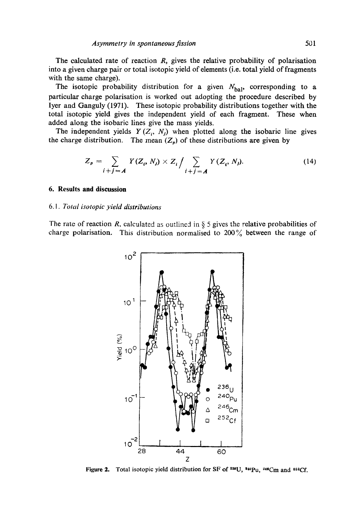The calculated rate of reaction  $R$ , gives the relative probability of polarisation into a given charge pair or total isotopic yield of elements (i.e. total yield of fragments with the same charge).

The isotopic probability distribution for a given  $N_{bal}$ , corresponding to a particular charge polarisation is worked out adopting the procedure described by Iyer and Ganguly (1971). These isotopic probability distributions together with the total isotopic yield gives the independent yield of each fragment. These when added along the isobaric lines give the mass yields.

The independent yields  $Y(Z_i, N_j)$  when plotted along the isobaric line gives the charge distribution. The mean  $(Z_p)$  of these distributions are given by

$$
Z_p = \sum_{i+j=A} Y(Z_i, N_j) \times Z_i / \sum_{i+j=A} Y(Z_i, N_j). \tag{14}
$$

#### **6. Results and discussion**

#### *6.1. Total isotopic yield distributions*

The rate of reaction R, calculated as outlined in  $\S 5$  gives the relative probabilities of charge polarisation. This distribution normalised to  $200\%$  between the range of



Figure 2. Total isotopic yield distribution for SF of  $240$ ,  $440$ Pu,  $240$ Cm and  $852$ Cf.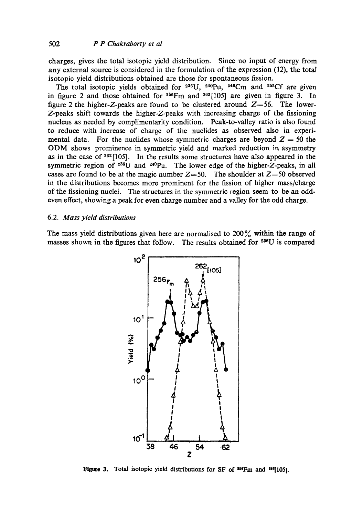charges, gives the total isotopic yield distribution. Since no input of energy from any external source is considered in the formulation of the expression (12), the total isotopic yield distributions obtained are those for spontaneous fission.

The total isotopic yields obtained for  $236U$ ,  $240Pu$ ,  $246Cm$  and  $252Cf$  are given in figure 2 and those obtained for  $256$ Fm and  $262$ [105] are given in figure 3. In figure 2 the higher-Z-peaks are found to be clustered around  $Z=56$ . The lower-Z-peaks shift towards the higher-Z-peaks with increasing charge of the fissioning nucleus as needed by complimentarity condition. Peak-to-valley ratio is also found to reduce with increase of charge of the nuclides as observed also in experimental data. For the nuclides whose symmetric charges are beyond  $Z = 50$  the ODM shows prominence in symmetric yield and marked reduction in asymmetry as in the case of  $262$ [105]. In the results some structures have also appeared in the symmetric region of  $236U$  and  $240Pu$ . The lower edge of the higher-Z-peaks, in all cases are found to be at the magic number  $Z=50$ . The shoulder at  $Z=50$  observed in the distributions becomes more prominent for the fission of higher mass/charge of the fissioning nuclei. The structures in the symmetric region seem to be an oddeven effect, showing a peak for even charge number and a valley for the odd charge.

## 6.2. *Mass yield distributions*

The mass yield distributions given here are normalised to  $200\%$  within the range of masses shown in the figures that follow. The results obtained for <sup>236</sup>U is compared



Figure 3. Total isotopic yield distributions for SF of <sup>356</sup>Fm and <sup>363</sup>[105].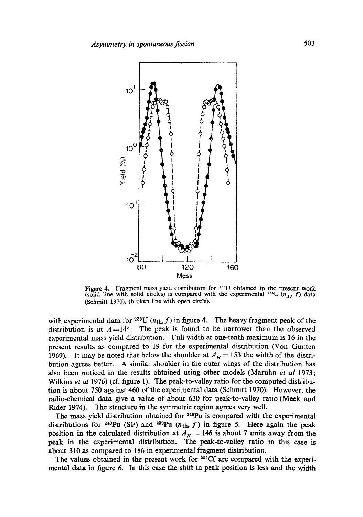

Figure 4. Fragment mass yield distribution for <sup>236</sup>U obtained in the present work (solid line with solid circles) is compared with the experimental <sup>235</sup>U ( $n_{\text{th}}$ , f) data (Schmitt 1970), (broken line with open circle).

with experimental data for <sup>235</sup>U ( $n_{\text{th}}$ , f) in figure 4. The heavy fragment peak of the distribution is at  $A=144$ . The peak is found to be narrower than the observed experimental mass yield distribution. Full width at one-tenth maximum is 16 in the present results as compared to 19 for the experimental distribution (Von Gunten 1969). It may be noted that below the shoulder at  $A_H = 153$  the width of the distribution agrees better. A similar shoulder in the outer wings of the distribution has also been noticed in the results obtained using other models (Maruhn *et al* 1973; Wilkins *et al* 1976) (cf. figure 1). The peak-to-valley ratio for the computed distribution is about 750 against 460 of the experimental data (Schmitt 1970). However, the radio-chemical data give a value of about 630 for peak-to-valley ratio (Meek and Rider 1974). The structure in the symmetric region agrees very well.

The mass yield distribution obtained for <sup>240</sup>Pu is compared with the experimental distributions for <sup>240</sup>Pu (SF) and <sup>239</sup>Pu ( $n_{th}$ , f) in figure 5. Here again the peak position in the calculated distribution at  $A_H = 146$  is about 7 units away from the peak in the experimental distribution. The peak-to-valley ratio in this case is about 310 as compared to 186 in experimental fragment distribution.

The values obtained in the present work for  $252Cf$  are compared with the experimental data in figure 6. In this case the shift in peak position is less and the width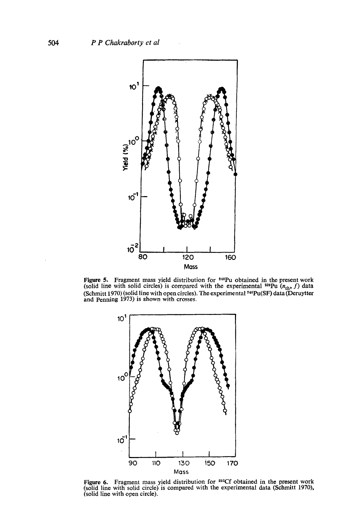

**Figure 5.** Fragment mass yield distribution for  $240$ Pu obtained in the present work (solid line with solid circles) is compared with the experimental <sup>239</sup>Pu ( $n_{th}$ , f) data (Schmitt 1970) (solid line with open circles). The experimental  $240\text{Pu(SF)}$  data (Deruytter and Penning 1973) is shown with crosses.



Figure 6. Fragment mass yield distribution for  $252Cf$  obtained in the present work (solid line with solid circle) is compared with the experimental data (Schmitt 1970), (solid line with open circle).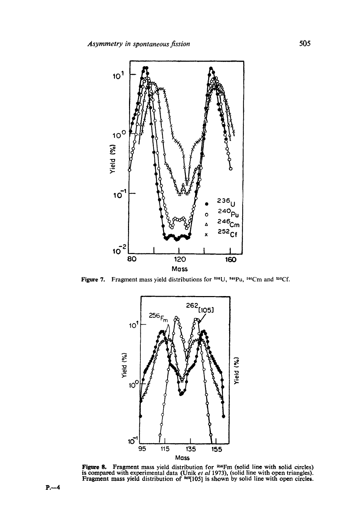

Figure 7. Fragment mass yield distributions for  $236$ U,  $240$ Pu,  $246$ Cm and  $252$ Cf.



**Figure 8.** Fragment mass yield distribution for <sup>256</sup>Fm (solid line with solid circles) is compared with experimental data (Unik *et al* 1973), (solid line with open triangles). Fragment mass yield distribution of  $^{164}$ [105] is shown by solid line with open circles.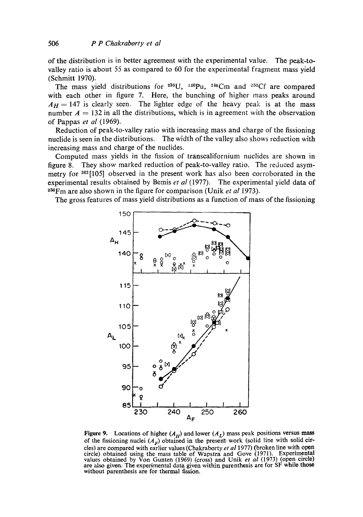of the distribution is in better agreement with the experimental value. The peak-tovalley ratio is about 55 as compared to 60 for the experimental fragment mass yield (Schmitt 1970).

The mass yield distributions for  $2^{36}U$ ,  $2^{10}Pu$ ,  $2^{16}Cm$  and  $2^{52}Cf$  are compared with each other in figure 7. Here, the bunching of higher mass peaks around  $A_H = 147$  is clearly seen. The lighter edge of the heavy peak is at the mass number  $A = 132$  in all the distributions, which is in agreement with the observation of Pappas *et al* (1969).

Reduction of peak-to-valley ratio with increasing mass and charge of the fissioning nuclide is seen in the distributions. The width of the valley also shows reduction with increasing mass and charge of the nuclides.

Computed mass yields in the fission of transealifornium nuclides are shown in figure 8. They show marked reduction of peak-to-valley ratio. The reduced asymmetry for 2831105] observed in the present work has also been corroborated in the experimental results obtained by Bemis *et al* (1977). The experimental yield data of <sup>256</sup>Fm are also shown in the figure for comparison (Unik *et al* 1973).

The gross features of mass yield distributions as a function of mass of the fissioning



Figure 9. Locations of higher  $(A_H)$  and lower  $(A_L)$  mass peak positions versus mass of the fissioning nuclei  $(A_F)$  obtained in the present-work (solid line with solid circles) are compared with earlier values (Chakraborty *et al* 1977) (broken line with open circle) obtained using the mass table of Wapstra and Gove (1971). Experimental values obtained by Von Gunten (1969) (cross) and Unik *et al* (1973) (open circle) are also given. The experimental data given within parenthesis are for SF while those without parenthesis are for thermal fission.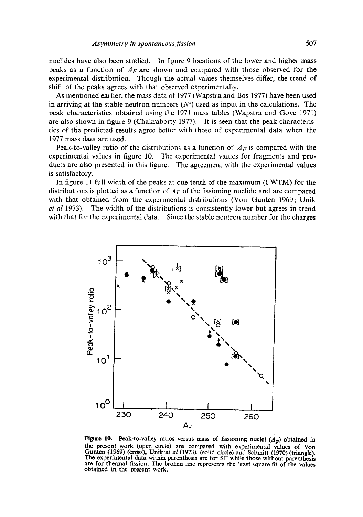nuclides have also been sttrdied. In figure 9 locations of the lower and higher mass peaks as a function of *AF* are shown and compared with those observed for the experimental distribution. Though the actual values themselves differ, the trend of shift of the peaks agrees with that observed experimentally.

As mentioned earlier, the mass data of 1977 (Wapstra and Bos 1977) have been used in arriving at the stable neutron numbers  $(N^s)$  used as input in the calculations. The peak characteristics obtained using the 1971 mass tables (Wapstra and Gove 1971) are also shown in figure 9 (Chakraborty 1977). It is seen that the peak characteristics of the predicted results agree better with those of experimental data when the 1977 mass data are used.

Peak-to-valley ratio of the distributions as a function of *AF* is compared with the experimental values in figure 10. The experimental values for fragments and products are also presented in this figure. The agreement with the experimental values is satisfactory.

In figure 11 full width of the peaks at one-tenth of the maximum (FWTM) for the distributions is plotted as a function of *AF* of the fissioning nuclide and are compared with that obtained from the experimental distributions (Von Gunten 1969; Unik *et al* 1973). The width of the distributions is consistently lower but agrees in trend with that for the experimental data. Since the stable neutron number for the charges



Figure 10. Peak-to-valley ratios versus mass of fissioning nuclei  $(A<sub>F</sub>)$  obtained in the present work (open circle) are compared with experimental values of Von Gunten (1969) (cross), Unik *et al* (1973), (solid circle) and Schmitt (1970) (triangle). The experimental data within parenthesis are for SF while those without parenthesis are for thermal fission. The broken line represents the least square fit of the values obtained in the present work.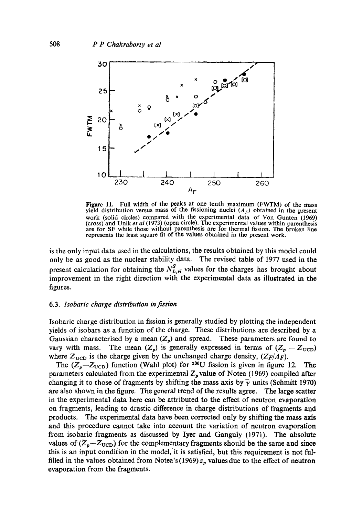

Figure 11. Full width of the peaks at one tenth maximum (FWTM) of the mass yield distribution versus mass of the fissioning nuclei  $(A_F)$  obtained in the present work (solid circles) compared with the experimental data of Von Gunten (1969) (cross) and Unik *et al* (1973) (open circle). The experimental values within parenthesis are for SF while those without parenthesis are for thermal fission. The broken line represents the least square fit of the values obtained in the present work.

is the only input data used in the calculations, the results obtained by this model could only be as good as the nuclear stability data. The revised table of 1977 used in the present calculation for obtaining the  $N_{L,H}^S$  values for the charges has brought about improvement in the right direction with the experimental data as illustrated in the figures.

#### 6.3. *Isobaric charge distribution in fizsion*

Isobaric charge distribution in fission is generally studied by plotting the independent yields of isobars as a function of the charge. These distributions are described by a Gaussian characterised by a mean  $(Z_p)$  and spread. These parameters are found to vary with mass. The mean  $(Z_p)$  is generally expressed in terms of  $(Z_p - Z_{\text{UCD}})$ where  $Z_{\text{UCD}}$  is the charge given by the unchanged charge density,  $(Z_F/A_F)$ .

The  $(Z_p - Z_{UCD})$  function (Wahl plot) for <sup>236</sup>U fission is given in figure 12. The parameters calculated from the experimental  $Z_p$  value of Notea (1969) compiled after changing it to those of fragments by shifting the mass axis by  $\bar{\gamma}$  units (Schmitt 1970) are also shown in the figure. The general trend of the results agree. The large scatter in the experimental data here can be attributed to the effect of neutron evaporation on fragments, leading to drastic difference in charge distributions of fragments and products. The experimental data have been corrected only by shifting the mass axis and this procedure cannot take into account the variation of neutron evaporation from isobaric fragments as discussed by Iyer and Ganguly (1971). The absolute values of  $(Z_p-Z_{\text{UCD}})$  for the complementary fragments should be the same and since this is an input condition in the model, it is satisfied, but this requirement is not fulfilled in the values obtained from Notea's (1969)  $z<sub>p</sub>$  values due to the effect of neutron evaporation from the fragments.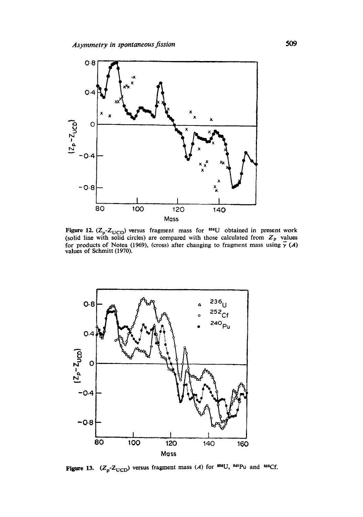

Figure 12. ( $Z_p$ - $Z_{\text{UCD}}$ ) versus fragment mass for <sup>236</sup>U obtained in present work (solid line with solid circles) are compared with those calculated from  $Z_p$  values for products of Notea (1969), (cross) after changing to fragment mass using  $\gamma(A)$ values of Schmitt (1970).



Figure 13.  $(Z_p-Z_{UCD})$  versus fragment mass (A) for <sup>286</sup>U, <sup>240</sup>Pu and <sup>262</sup>Cf.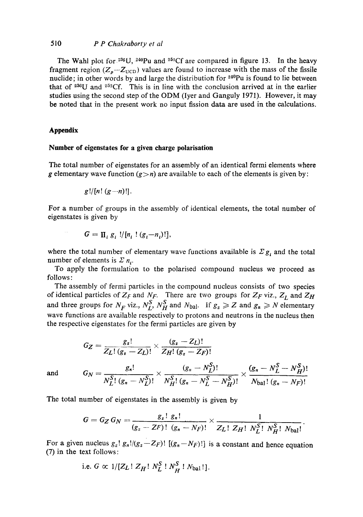#### 510 *P P Chakraborty et al*

The Wahl plot for  $236$ U,  $240$ Pu and  $252$ Cf are compared in figure 13. In the heavy fragment region ( $Z_p-Z_{UCD}$ ) values are found to increase with the mass of the fissile nuclide; in other words by and large the distribution for <sup>240</sup>Pu is found to lie between that of  $2^{38}U$  and  $2^{52}Cf$ . This is in line with the conclusion arrived at in the earlier studies using the second step of the ODM (Iyer and Ganguly 1971). However, it may **be** noted that in the present work no input fission data are used in the calculations.

#### **Appendix**

 $\sim$   $\sim$ 

#### **Number of eigenstates for a given charge polarisation**

The total number of eigenstates for an assembly of an identical fermi elements where g elementary wave function  $(g > n)$  are available to each of the elements is given by:

$$
g!/[n!(g-n)!].
$$

For a number of groups in the assembly of identical elements, the total number of eigenstates is given by

$$
G = \prod_i g_i / [n_i \cdot (g_i - n_i)!],
$$

where the total number of elementary wave functions available is  $\mathcal{L} g_i$  and the total number of elements is  $\sum n_i$ .

To apply the formulation to the polarised compound nucleus we proceed as follows:

The assembly of fermi particles in the compound nucleus consists of two species of identical particles of  $Z_F$  and  $N_F$ . There are two groups for  $Z_F$  viz.,  $Z_L$  and  $Z_H$ and three groups for  $N_F$  viz.,  $N_L^S$ ,  $N_H^S$  and  $N_{\text{bal}}$ . If  $g_z \geqslant Z$  and  $g_n \geqslant N$  elementary wave functions are available respectively to protons and neutrons in the nucleus then the respective eigenstates for the fermi particles are given by

$$
G_Z = \frac{g_z!}{Z_L! (g_z - Z_L)!} \times \frac{(g_z - Z_L)!}{Z_H! (g_z - Z_F)!}
$$
  
and 
$$
G_N = \frac{g_n!}{N_L^S! (g_n - N_L^S)!} \times \frac{(g_n - N_L^S)!}{N_H^S! (g_n - N_L^S - N_H^S)!} \times \frac{(g_n - N_L^S - N_H^S)!}{N_{bal}! (g_n - N_F)!}
$$

The total number of eigenstates in the assembly is given by

$$
G = G_Z G_N = \frac{g_z! \ g_n!}{(g_z - ZF)! \ (g_n - NF)!} \times \frac{1}{Z_L! \ Z_H! \ N_L^S! \ N_H^S! \ N_{bal}!}.
$$

For a given nucleus  $g_z$ !  $g_n!/(g_z-Z_F)!$   $[(g_n-N_F)!]$  is a constant and hence equation (7) in the text follows:

i.e. 
$$
G \propto 1/[\mathbb{Z}_L : \mathbb{Z}_H : N_L^S : N_H^S : N_{\text{bal}} : ].
$$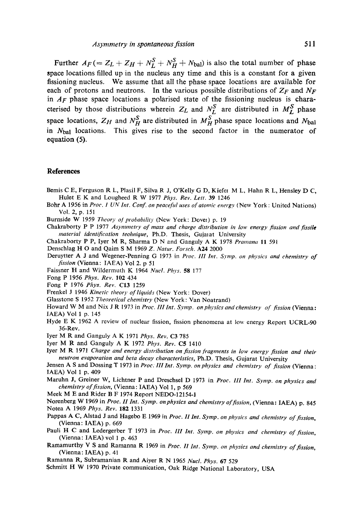Further  $A_F (= Z_L + Z_H + N_L^S + N_H^S + N_{bal})$  is also the total number of phase space locations filled up in the nucleus any time and this is a constant for a given fissioning nucleus. We assume that all the phase space locations are available for each of protons and neutrons. In the various possible distributions of  $Z_F$  and  $N_F$ in *AF* phase space locations a polarised state of the fissioning nucleus is characterised by those distributions wherein  $Z_L$  and  $N_L^S$  are distributed in  $M_L^S$  phase space locations,  $Z_H$  and  $N_H^S$  are distributed in  $M_H^S$  phase space locations and  $N_{bal}$ in  $N<sub>bal</sub>$  locations. This gives rise to the second factor in the numerator of equation (5).

#### **References**

- Bemis C E, Ferguson R L, Plasil F, Silva R J, O'Kelly G D, Kiefer M L, Hahn R L, Hensley D C, Hulet E K and Lougheed R W 1977 *Phys. Rev. Lett.* 39 1246
- Bohr A 1956 in *Proc. I UN Int. Conf. on peaceful uses of atomic energy* (New York : United Nations) Vol. 2, p. 151
- Burnside W 1959 *Theory of probability* (New York: Dover) p. 19
- Chakraborty P P 1977 *Asymmetry of mass and charge distribution in low energy fission and fissile material identification technique*, Ph.D. Thesis, Gujarat University
- Chakraborty P P, Iyer M R, Sharrna D N and Ganguly A K 1978 *Pramana* 11 591
- Denschlag H O and Qaim S M 1969 *Z. Natur. Forsch.* A24 2000
- Deruytter A J and Wegener-Penning G 1973 in *Proe. III Int. Syrup. on physics and chemistry of fission* (Vienna: IAEA) Vol 2. p 51
- Faissner H and Wildermuth K 1964 *Nucl. Phys.* 58 177
- Fong P 1956 *Phys. Rev.* 102 434
- Fong P !976 *Phys. Rev.* C13 1259
- Frenkel J 1946 *Kinetic theory of liquids* (New York: Dover)
- Glasstone S 1952 *Theoretical chemistry* (New York: Van Noatrand)
- Howard W M and Nix J R 1973 in Proc. III Int. Symp. on physics and chemistry of fission (Vienna: IAEA) Vol 1 p. 145
- Hyde E K 1962 A review of nuclear fission, fission phenomena at low energy Report UCRL-90 36-Rev.
- Iyer M R and Ganguly A K 1971 *Phys. Rev.* C3 785
- Iyer M R and Ganguly A K 1972 *Phys. Rev.* C5 1410
- Iyer M R 1971 *Charge and energy distribution on fission fragments in low energy fission and their neutron evaporation and beta decay characteristics,* Ph.D. Thesis, Gujarat University

Jensen A S and Dossing T 1973 in *Proc: III Int. Symp. on physics and chemistry of fission* (Vienna : IAEA) Vol 1 p. 409

- Maruhn J, Greiner W, Liehtner P and Dreschsel D 1973 in *Proe. 111 Int. Syrup. on physics and chemistry of fission,* (Vienna: IAEA) Vol 1, p 569
- Meek M E and Rider B F 1974 Report NEDO-12154-1
- Norenberg W 1969 in *Proc. H Int. Symp. onphysics and chemistry of fission,* (Vienna: IAEA) p. 845 Notea A 1969 *Phys. Rev.* 182 1331
- Pappas A C, Alstad J and Hagebo E 1969 in *Proc. II Int. Symp. on physics and chemistry of fission*, (Vienna: IAEA) p. 669
- Pauli H C and Ledergerber T 1973 in *Proc. III Int. Symp. on physics and chemistry of fission*, (Vienna: IAEA) vol 1 p. 463
- Ramamurthy V S and Ramanna R 1969 in *Proc. H Int. Syrup. on physics and chemistry of fission,*  (Vienna: IAEA) p. 41
- Ramanna R, Subramanian R and Aiyer R N 1965 *Nucl. Phys.* 67 529
- Schmitt H W 1970 Private communication, Oak Ridge National Laboratory, USA